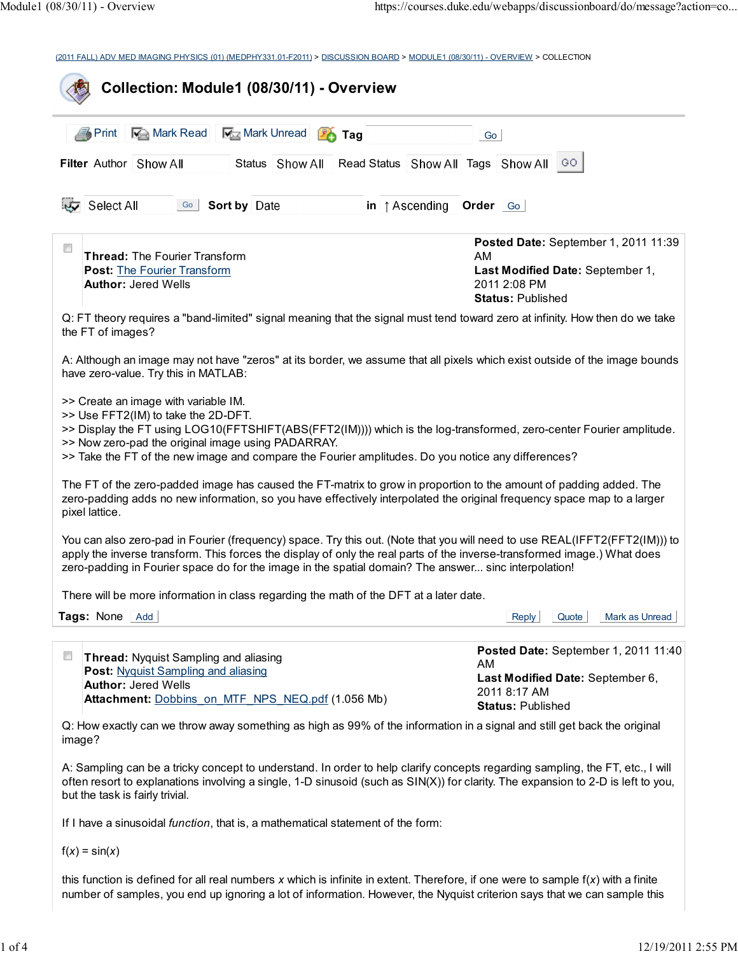(2011 FALL) ADV MED IMAGING PHYSICS (01) (MEDPHY331.01-F2011) > DISCUSSION BOARD > MODULE1 (08/30/11) - OVERVIEW > COLLECTION

| Mark Read<br>Mark Unread<br><b>■ Print</b><br>$\sqrt{26}$ Tag                                                                                                                                                                                                                                                                                                  | Go                                                                                                                          |
|----------------------------------------------------------------------------------------------------------------------------------------------------------------------------------------------------------------------------------------------------------------------------------------------------------------------------------------------------------------|-----------------------------------------------------------------------------------------------------------------------------|
| Filter Author Show All<br>Status Show All                                                                                                                                                                                                                                                                                                                      | Read Status Show All Tags Show All GO                                                                                       |
| Select All<br>Go Sort by Date<br>in $\uparrow$ Ascending                                                                                                                                                                                                                                                                                                       | Order <sub>Go</sub>                                                                                                         |
| $\Box$<br><b>Thread: The Fourier Transform</b>                                                                                                                                                                                                                                                                                                                 | Posted Date: September 1, 2011 11:39<br>AM                                                                                  |
| <b>Post: The Fourier Transform</b><br><b>Author: Jered Wells</b>                                                                                                                                                                                                                                                                                               | Last Modified Date: September 1,<br>2011 2:08 PM<br><b>Status: Published</b>                                                |
| Q: FT theory requires a "band-limited" signal meaning that the signal must tend toward zero at infinity. How then do we take<br>the FT of images?                                                                                                                                                                                                              |                                                                                                                             |
| A: Although an image may not have "zeros" at its border, we assume that all pixels which exist outside of the image bounds<br>have zero-value. Try this in MATLAB:                                                                                                                                                                                             |                                                                                                                             |
| >> Create an image with variable IM.<br>>> Use FFT2(IM) to take the 2D-DFT.<br>>> Display the FT using LOG10(FFTSHIFT(ABS(FFT2(IM)))) which is the log-transformed, zero-center Fourier amplitude.<br>>> Now zero-pad the original image using PADARRAY.<br>>> Take the FT of the new image and compare the Fourier amplitudes. Do you notice any differences? |                                                                                                                             |
| The FT of the zero-padded image has caused the FT-matrix to grow in proportion to the amount of padding added. The<br>zero-padding adds no new information, so you have effectively interpolated the original frequency space map to a larger<br>pixel lattice.                                                                                                |                                                                                                                             |
| You can also zero-pad in Fourier (frequency) space. Try this out. (Note that you will need to use REAL(IFFT2(FFT2(IM))) to<br>apply the inverse transform. This forces the display of only the real parts of the inverse-transformed image.) What does<br>zero-padding in Fourier space do for the image in the spatial domain? The answer sinc interpolation! |                                                                                                                             |
| There will be more information in class regarding the math of the DFT at a later date.                                                                                                                                                                                                                                                                         |                                                                                                                             |
| Tags: None Add                                                                                                                                                                                                                                                                                                                                                 | Quote<br>Mark as Unread<br>Reply                                                                                            |
| $\Box$<br>Thread: Nyquist Sampling and aliasing<br>Post: Nyquist Sampling and aliasing<br><b>Author: Jered Wells</b><br>Attachment: Dobbins on MTF NPS NEQ.pdf (1.056 Mb)                                                                                                                                                                                      | Posted Date: September 1, 2011 11:40<br>AM.<br>Last Modified Date: September 6,<br>2011 8:17 AM<br><b>Status: Published</b> |
| Q: How exactly can we throw away something as high as 99% of the information in a signal and still get back the original<br>image?                                                                                                                                                                                                                             |                                                                                                                             |
| A: Sampling can be a tricky concept to understand. In order to help clarify concepts regarding sampling, the FT, etc., I will<br>often resort to explanations involving a single, 1-D sinusoid (such as SIN(X)) for clarity. The expansion to 2-D is left to you,<br>but the task is fairly trivial.                                                           |                                                                                                                             |
|                                                                                                                                                                                                                                                                                                                                                                |                                                                                                                             |

 $f(x) = \sin(x)$ 

this function is defined for all real numbers  $x$  which is infinite in extent. Therefore, if one were to sample  $f(x)$  with a finite number of samples, you end up ignoring a lot of information. However, the Nyquist criterion says that we can sample this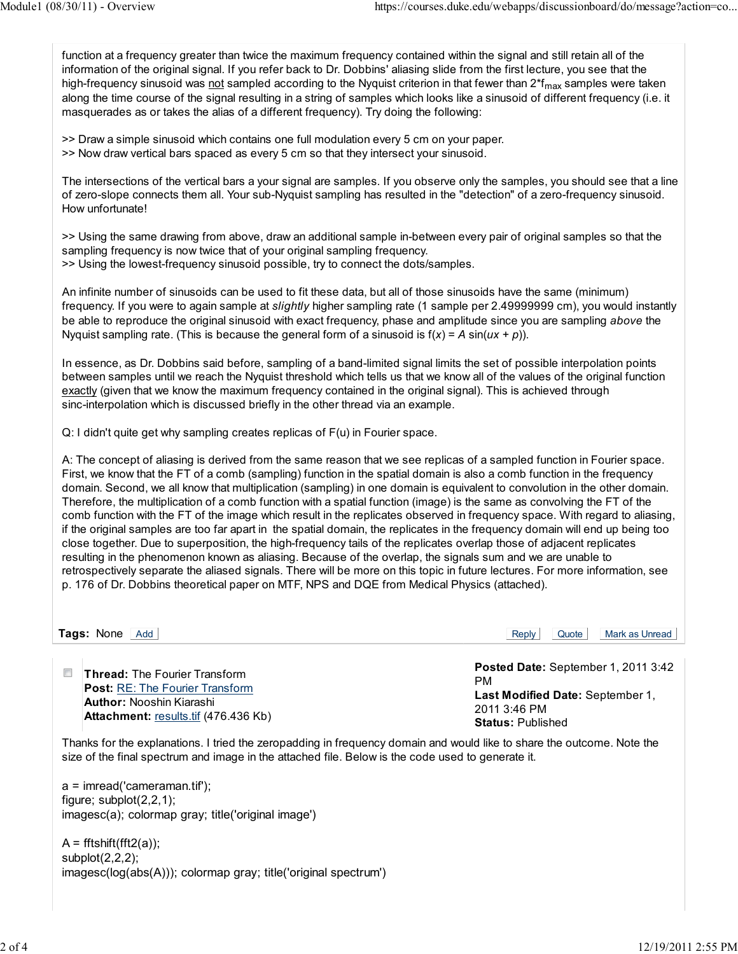function at a frequency greater than twice the maximum frequency contained within the signal and still retain all of the information of the original signal. If you refer back to Dr. Dobbins' aliasing slide from the first lecture, you see that the high-frequency sinusoid was not sampled according to the Nyquist criterion in that fewer than  $2<sup>*</sup>$  f<sub>max</sub> samples were taken along the time course of the signal resulting in a string of samples which looks like a sinusoid of different frequency (i.e. it masquerades as or takes the alias of a different frequency). Try doing the following:

>> Draw a simple sinusoid which contains one full modulation every 5 cm on your paper. >> Now draw vertical bars spaced as every 5 cm so that they intersect your sinusoid.

The intersections of the vertical bars a your signal are samples. If you observe only the samples, you should see that a line of zero-slope connects them all. Your sub-Nyquist sampling has resulted in the "detection" of a zero-frequency sinusoid. How unfortunate!

>> Using the same drawing from above, draw an additional sample in-between every pair of original samples so that the sampling frequency is now twice that of your original sampling frequency. >> Using the lowest-frequency sinusoid possible, try to connect the dots/samples.

An infinite number of sinusoids can be used to fit these data, but all of those sinusoids have the same (minimum) frequency. If you were to again sample at *slightly* higher sampling rate (1 sample per 2.49999999 cm), you would instantly be able to reproduce the original sinusoid with exact frequency, phase and amplitude since you are sampling above the Nyquist sampling rate. (This is because the general form of a sinusoid is  $f(x) = A \sin(ux + p)$ ).

In essence, as Dr. Dobbins said before, sampling of a band-limited signal limits the set of possible interpolation points between samples until we reach the Nyquist threshold which tells us that we know all of the values of the original function exactly (given that we know the maximum frequency contained in the original signal). This is achieved through sinc-interpolation which is discussed briefly in the other thread via an example.

Q: I didn't quite get why sampling creates replicas of F(u) in Fourier space.

A: The concept of aliasing is derived from the same reason that we see replicas of a sampled function in Fourier space. First, we know that the FT of a comb (sampling) function in the spatial domain is also a comb function in the frequency domain. Second, we all know that multiplication (sampling) in one domain is equivalent to convolution in the other domain. Therefore, the multiplication of a comb function with a spatial function (image) is the same as convolving the FT of the comb function with the FT of the image which result in the replicates observed in frequency space. With regard to aliasing, if the original samples are too far apart in the spatial domain, the replicates in the frequency domain will end up being too close together. Due to superposition, the high-frequency tails of the replicates overlap those of adjacent replicates resulting in the phenomenon known as aliasing. Because of the overlap, the signals sum and we are unable to retrospectively separate the aliased signals. There will be more on this topic in future lectures. For more information, see p. 176 of Dr. Dobbins theoretical paper on MTF, NPS and DQE from Medical Physics (attached).

**Tags:** None Add **Add** Add Reply Quote Mark as Unread Reply Quote Mark as Unread

 $\Box$ Thread: The Fourier Transform Post: RE: The Fourier Transform Author: Nooshin Kiarashi Attachment: results.tif (476.436 Kb) Posted Date: September 1, 2011 3:42 PM Last Modified Date: September 1, 2011 3:46 PM Status: Published

Thanks for the explanations. I tried the zeropadding in frequency domain and would like to share the outcome. Note the size of the final spectrum and image in the attached file. Below is the code used to generate it.

a = imread('cameraman.tif'); figure; subplot(2,2,1); imagesc(a); colormap gray; title('original image')

 $A = fftshift(fft2(a))$ ; subplot(2,2,2); imagesc(log(abs(A))); colormap gray; title('original spectrum')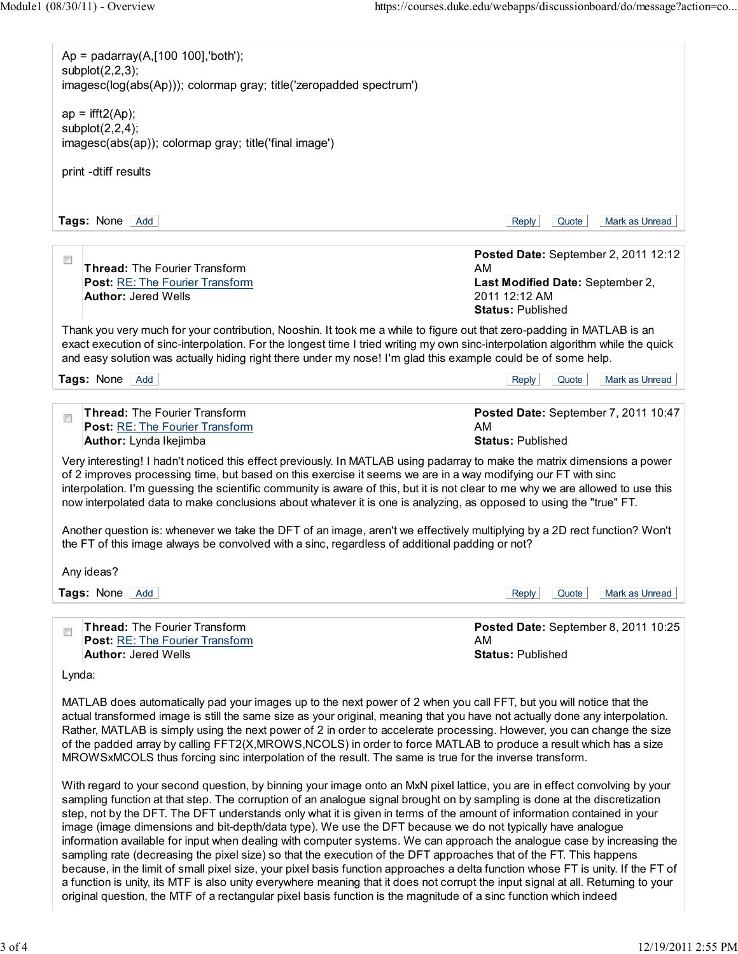| $Ap = padarray(A, [100 100], 'both');$                                                                                                                                                                                                  |                                                                                                                                                                                                                                                                                                                                                                            |
|-----------------------------------------------------------------------------------------------------------------------------------------------------------------------------------------------------------------------------------------|----------------------------------------------------------------------------------------------------------------------------------------------------------------------------------------------------------------------------------------------------------------------------------------------------------------------------------------------------------------------------|
| subplot $(2,2,3)$ ;<br>imagesc(log(abs(Ap))); colormap gray; title('zeropadded spectrum')                                                                                                                                               |                                                                                                                                                                                                                                                                                                                                                                            |
| $ap = \frac{ifft2(Ap)}{i}$<br>subplot $(2,2,4)$ ;                                                                                                                                                                                       |                                                                                                                                                                                                                                                                                                                                                                            |
| imagesc(abs(ap)); colormap gray; title('final image')                                                                                                                                                                                   |                                                                                                                                                                                                                                                                                                                                                                            |
| print -dtiff results                                                                                                                                                                                                                    |                                                                                                                                                                                                                                                                                                                                                                            |
| Tags: None Add                                                                                                                                                                                                                          | Mark as Unread<br>Reply<br>Quote                                                                                                                                                                                                                                                                                                                                           |
|                                                                                                                                                                                                                                         |                                                                                                                                                                                                                                                                                                                                                                            |
| $\Box$<br><b>Thread: The Fourier Transform</b>                                                                                                                                                                                          | Posted Date: September 2, 2011 12:12<br>AM                                                                                                                                                                                                                                                                                                                                 |
| Post: RE: The Fourier Transform                                                                                                                                                                                                         | Last Modified Date: September 2,                                                                                                                                                                                                                                                                                                                                           |
| <b>Author: Jered Wells</b>                                                                                                                                                                                                              | 2011 12:12 AM<br><b>Status: Published</b>                                                                                                                                                                                                                                                                                                                                  |
| Thank you very much for your contribution, Nooshin. It took me a while to figure out that zero-padding in MATLAB is an<br>and easy solution was actually hiding right there under my nose! I'm glad this example could be of some help. | exact execution of sinc-interpolation. For the longest time I tried writing my own sinc-interpolation algorithm while the quick                                                                                                                                                                                                                                            |
| Tags: None Add                                                                                                                                                                                                                          | Quote<br>Mark as Unread<br>Reply                                                                                                                                                                                                                                                                                                                                           |
| <b>Thread: The Fourier Transform</b><br>$\overline{\phantom{a}}$<br>Post: RE: The Fourier Transform<br>Author: Lynda Ikejimba                                                                                                           | Posted Date: September 7, 2011 10:47<br>AM<br><b>Status: Published</b>                                                                                                                                                                                                                                                                                                     |
| now interpolated data to make conclusions about whatever it is one is analyzing, as opposed to using the "true" FT.<br>the FT of this image always be convolved with a sinc, regardless of additional padding or not?                   | Another question is: whenever we take the DFT of an image, aren't we effectively multiplying by a 2D rect function? Won't                                                                                                                                                                                                                                                  |
|                                                                                                                                                                                                                                         |                                                                                                                                                                                                                                                                                                                                                                            |
| Any ideas?                                                                                                                                                                                                                              |                                                                                                                                                                                                                                                                                                                                                                            |
|                                                                                                                                                                                                                                         | Quote<br>Mark as Unread<br>Reply                                                                                                                                                                                                                                                                                                                                           |
| Thread: The Fourier Transform<br>$\overline{\phantom{a}}$<br>Post: RE: The Fourier Transform                                                                                                                                            | AM.                                                                                                                                                                                                                                                                                                                                                                        |
| <b>Author: Jered Wells</b>                                                                                                                                                                                                              | Posted Date: September 8, 2011 10:25<br><b>Status: Published</b>                                                                                                                                                                                                                                                                                                           |
| Tags: None Add<br>Lynda:                                                                                                                                                                                                                |                                                                                                                                                                                                                                                                                                                                                                            |
| MATLAB does automatically pad your images up to the next power of 2 when you call FFT, but you will notice that the<br>MROWSxMCOLS thus forcing sinc interpolation of the result. The same is true for the inverse transform.           | actual transformed image is still the same size as your original, meaning that you have not actually done any interpolation.<br>Rather, MATLAB is simply using the next power of 2 in order to accelerate processing. However, you can change the size<br>of the padded array by calling FFT2(X,MROWS,NCOLS) in order to force MATLAB to produce a result which has a size |

original question, the MTF of a rectangular pixel basis function is the magnitude of a sinc function which indeed